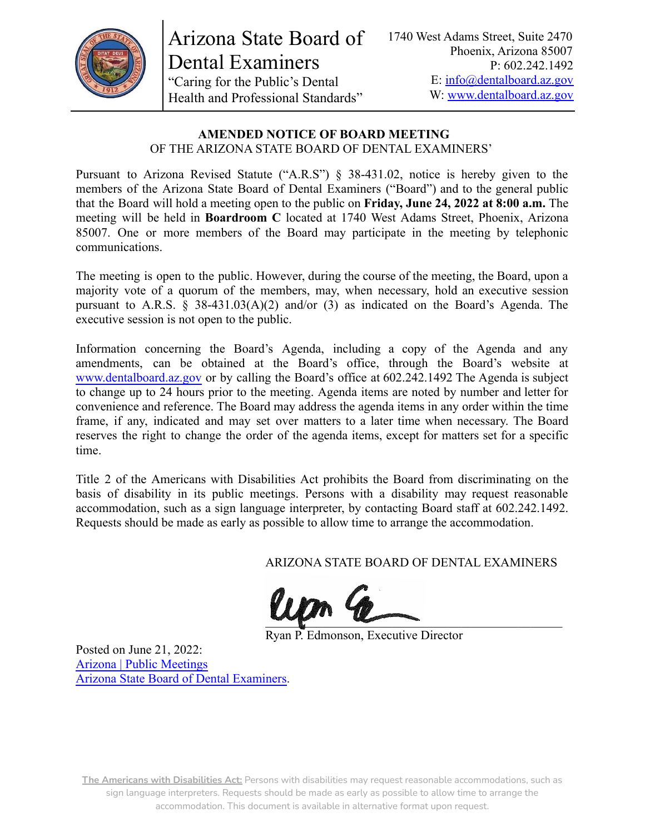

Arizona State Board of Dental Examiners "Caring for the Public's Dental Health and Professional Standards"

#### **AMENDED NOTICE OF BOARD MEETING** OF THE ARIZONA STATE BOARD OF DENTAL EXAMINERS'

Pursuant to Arizona Revised Statute ("A.R.S") § 38-431.02, notice is hereby given to the members of the Arizona State Board of Dental Examiners ("Board") and to the general public that the Board will hold a meeting open to the public on **Friday, June 24, 2022 at 8:00 a.m.** The meeting will be held in **Boardroom C** located at 1740 West Adams Street, Phoenix, Arizona 85007. One or more members of the Board may participate in the meeting by telephonic communications.

The meeting is open to the public. However, during the course of the meeting, the Board, upon a majority vote of a quorum of the members, may, when necessary, hold an executive session pursuant to A.R.S. § 38-431.03(A)(2) and/or (3) as indicated on the Board's Agenda. The executive session is not open to the public.

Information concerning the Board's Agenda, including a copy of the Agenda and any amendments, can be obtained at the Board's office, through the Board's website at [www.dentalboard.az.gov](https://dentalboard.az.gov/) or by calling the Board's office at 602.242.1492 The Agenda is subject to change up to 24 hours prior to the meeting. Agenda items are noted by number and letter for convenience and reference. The Board may address the agenda items in any order within the time frame, if any, indicated and may set over matters to a later time when necessary. The Board reserves the right to change the order of the agenda items, except for matters set for a specific time.

Title 2 of the Americans with Disabilities Act prohibits the Board from discriminating on the basis of disability in its public meetings. Persons with a disability may request reasonable accommodation, such as a sign language interpreter, by contacting Board staff at 602.242.1492. Requests should be made as early as possible to allow time to arrange the accommodation.

ARIZONA STATE BOARD OF DENTAL EXAMINERS

 $\sim$ 

Ryan P. Edmonson, Executive Director

Posted on June 21, 2022: [Arizona | Public Meetings](https://publicmeetings.az.gov/) [Arizona State Board of Dental Examiners](https://dentalboard.az.gov/).

**The Americans with Disabilities Act:** Persons with disabilities may request reasonable accommodations, such as sign language interpreters. Requests should be made as early as possible to allow time to arrange the accommodation. This document is available in alternative format upon request.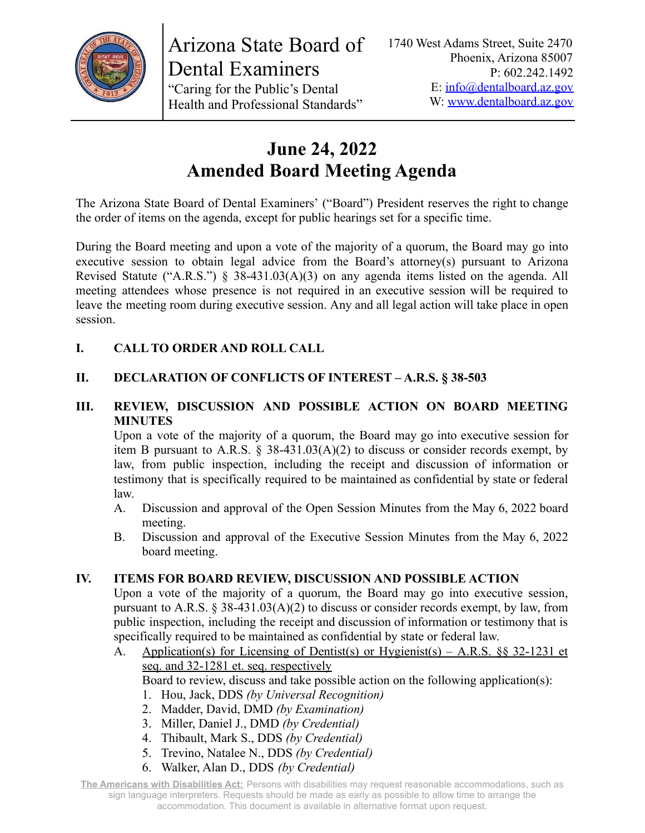

# **June 24, 2022 Amended Board Meeting Agenda**

The Arizona State Board of Dental Examiners' ("Board") President reserves the right to change the order of items on the agenda, except for public hearings set for a specific time.

During the Board meeting and upon a vote of the majority of a quorum, the Board may go into executive session to obtain legal advice from the Board's attorney(s) pursuant to Arizona Revised Statute ("A.R.S.") § 38-431.03(A)(3) on any agenda items listed on the agenda. All meeting attendees whose presence is not required in an executive session will be required to leave the meeting room during executive session. Any and all legal action will take place in open session.

# **I. CALL TO ORDER AND ROLL CALL**

# **II. DECLARATION OF CONFLICTS OF INTEREST – A.R.S. § 38-503**

### **III. REVIEW, DISCUSSION AND POSSIBLE ACTION ON BOARD MEETING MINUTES**

Upon a vote of the majority of a quorum, the Board may go into executive session for item B pursuant to A.R.S. § 38-431.03(A)(2) to discuss or consider records exempt, by law, from public inspection, including the receipt and discussion of information or testimony that is specifically required to be maintained as confidential by state or federal law.

- A. Discussion and approval of the Open Session Minutes from the May 6, 2022 board meeting.
- B. Discussion and approval of the Executive Session Minutes from the May 6, 2022 board meeting.

### **IV. ITEMS FOR BOARD REVIEW, DISCUSSION AND POSSIBLE ACTION**

Upon a vote of the majority of a quorum, the Board may go into executive session, pursuant to A.R.S. § 38-431.03(A)(2) to discuss or consider records exempt, by law, from public inspection, including the receipt and discussion of information or testimony that is specifically required to be maintained as confidential by state or federal law.

A. Application(s) for Licensing of Dentist(s) or Hygienist(s) – A.R.S. §§ 32-1231 et seq. and 32-1281 et. seq. respectively

Board to review, discuss and take possible action on the following application(s):

- 1. Hou, Jack, DDS *(by Universal Recognition)*
- 2. Madder, David, DMD *(by Examination)*
- 3. Miller, Daniel J., DMD *(by Credential)*
- 4. Thibault, Mark S., DDS *(by Credential)*
- 5. Trevino, Natalee N., DDS *(by Credential)*
- 6. Walker, Alan D., DDS *(by Credential)*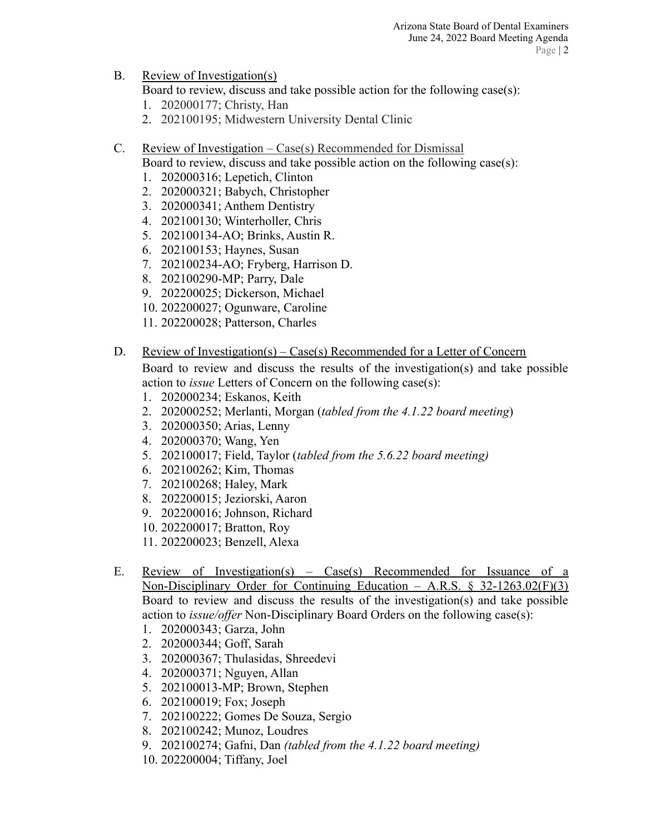B. Review of Investigation(s)

Board to review, discuss and take possible action for the following case(s):

- 1. 202000177; Christy, Han
- 2. 202100195; Midwestern University Dental Clinic
- C. Review of Investigation Case(s) Recommended for Dismissal

Board to review, discuss and take possible action on the following case(s):

- 1. 202000316; Lepetich, Clinton
- 2. 202000321; Babych, Christopher
- 3. 202000341; Anthem Dentistry
- 4. 202100130; Winterholler, Chris
- 5. 202100134-AO; Brinks, Austin R.
- 6. 202100153; Haynes, Susan
- 7. 202100234-AO; Fryberg, Harrison D.
- 8. 202100290-MP; Parry, Dale
- 9. 202200025; Dickerson, Michael
- 10. 202200027; Ogunware, Caroline
- 11. 202200028; Patterson, Charles
- D. Review of Investigation(s) Case(s) Recommended for a Letter of Concern

Board to review and discuss the results of the investigation(s) and take possible action to *issue* Letters of Concern on the following case(s):

- 1. 202000234; Eskanos, Keith
- 2. 202000252; Merlanti, Morgan (*tabled from the 4.1.22 board meeting*)
- 3. 202000350; Arias, Lenny
- 4. 202000370; Wang, Yen
- 5. 202100017; Field, Taylor (*tabled from the 5.6.22 board meeting)*
- 6. 202100262; Kim, Thomas
- 7. 202100268; Haley, Mark
- 8. 202200015; Jeziorski, Aaron
- 9. 202200016; Johnson, Richard
- 10. 202200017; Bratton, Roy
- 11. 202200023; Benzell, Alexa
- E. Review of Investigation(s) Case(s) Recommended for Issuance of a Non-Disciplinary Order for Continuing Education – A.R.S.  $\S$  32-1263.02(F)(3) Board to review and discuss the results of the investigation(s) and take possible action to *issue/offer* Non-Disciplinary Board Orders on the following case(s):
	- 1. 202000343; Garza, John
	- 2. 202000344; Goff, Sarah
	- 3. 202000367; Thulasidas, Shreedevi
	- 4. 202000371; Nguyen, Allan
	- 5. 202100013-MP; Brown, Stephen
	- 6. 202100019; Fox; Joseph
	- 7. 202100222; Gomes De Souza, Sergio
	- 8. 202100242; Munoz, Loudres
	- 9. 202100274; Gafni, Dan *(tabled from the 4.1.22 board meeting)*
	- 10. 202200004; Tiffany, Joel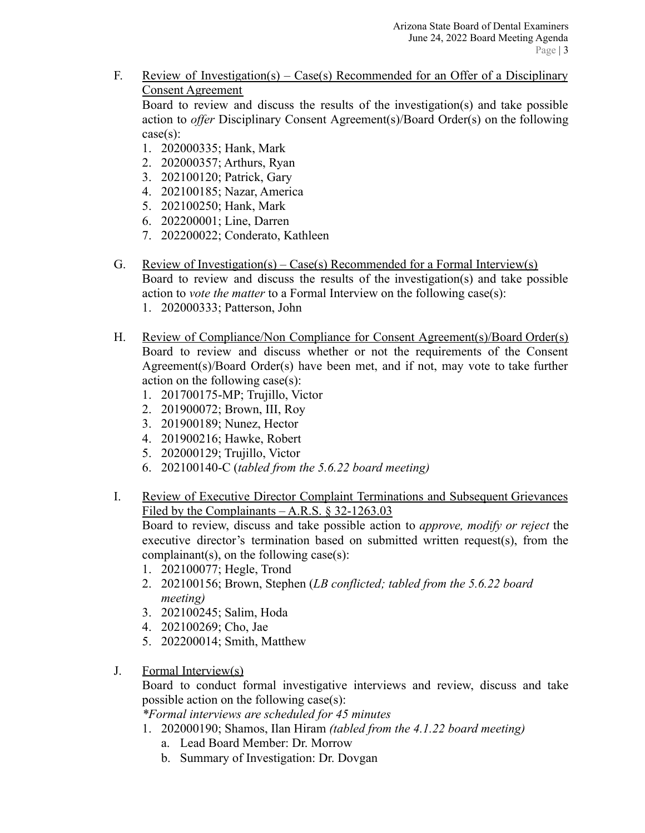F. Review of Investigation(s) – Case(s) Recommended for an Offer of a Disciplinary Consent Agreement

Board to review and discuss the results of the investigation(s) and take possible action to *offer* Disciplinary Consent Agreement(s)/Board Order(s) on the following case(s):

- 1. 202000335; Hank, Mark
- 2. 202000357; Arthurs, Ryan
- 3. 202100120; Patrick, Gary
- 4. 202100185; Nazar, America
- 5. 202100250; Hank, Mark
- 6. 202200001; Line, Darren
- 7. 202200022; Conderato, Kathleen
- G. Review of Investigation(s) Case(s) Recommended for a Formal Interview(s) Board to review and discuss the results of the investigation(s) and take possible action to *vote the matter* to a Formal Interview on the following case(s): 1. 202000333; Patterson, John
- H. Review of Compliance/Non Compliance for Consent Agreement(s)/Board Order(s) Board to review and discuss whether or not the requirements of the Consent Agreement(s)/Board Order(s) have been met, and if not, may vote to take further action on the following case(s):
	- 1. 201700175-MP; Trujillo, Victor
	- 2. 201900072; Brown, III, Roy
	- 3. 201900189; Nunez, Hector
	- 4. 201900216; Hawke, Robert
	- 5. 202000129; Trujillo, Victor
	- 6. 202100140-C (*tabled from the 5.6.22 board meeting)*
- I. Review of Executive Director Complaint Terminations and Subsequent Grievances Filed by the Complainants – A.R.S. § 32-1263.03

Board to review, discuss and take possible action to *approve, modify or reject* the executive director's termination based on submitted written request(s), from the complainant(s), on the following case(s):

- 1. 202100077; Hegle, Trond
- 2. 202100156; Brown, Stephen (*LB conflicted; tabled from the 5.6.22 board meeting)*
- 3. 202100245; Salim, Hoda
- 4. 202100269; Cho, Jae
- 5. 202200014; Smith, Matthew
- J. Formal Interview(s)

Board to conduct formal investigative interviews and review, discuss and take possible action on the following case(s):

*\*Formal interviews are scheduled for 45 minutes*

- 1. 202000190; Shamos, Ilan Hiram *(tabled from the 4.1.22 board meeting)*
	- a. Lead Board Member: Dr. Morrow
	- b. Summary of Investigation: Dr. Dovgan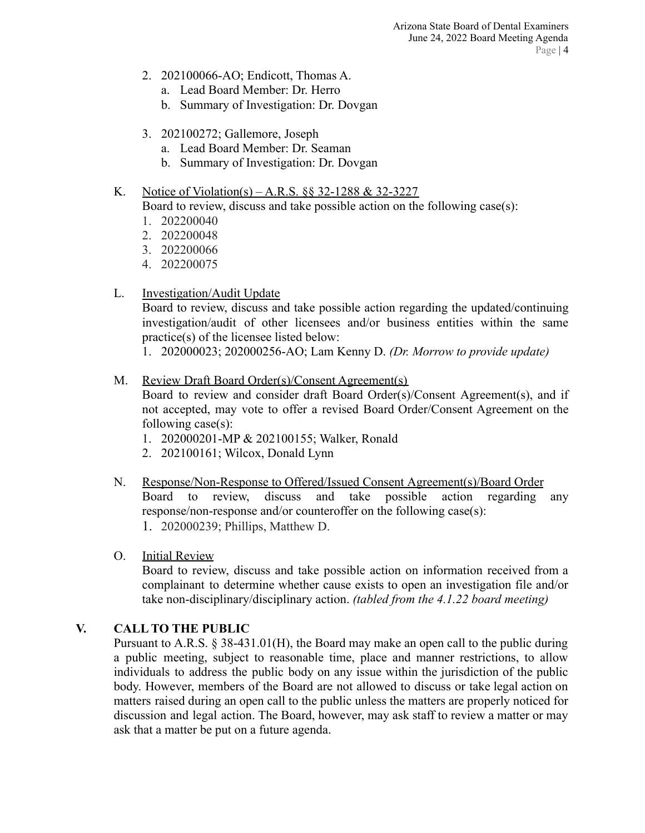- 2. 202100066-AO; Endicott, Thomas A.
	- a. Lead Board Member: Dr. Herro
	- b. Summary of Investigation: Dr. Dovgan
- 3. 202100272; Gallemore, Joseph
	- a. Lead Board Member: Dr. Seaman
	- b. Summary of Investigation: Dr. Dovgan

### K. Notice of Violation(s) – A.R.S. §§ 32-1288 & 32-3227

Board to review, discuss and take possible action on the following case(s):

- 1. 202200040
- 2. 202200048
- 3. 202200066
- 4. 202200075
- L. Investigation/Audit Update

Board to review, discuss and take possible action regarding the updated/continuing investigation/audit of other licensees and/or business entities within the same practice(s) of the licensee listed below:

1. 202000023; 202000256-AO; Lam Kenny D. *(Dr. Morrow to provide update)*

## M. Review Draft Board Order(s)/Consent Agreement(s)

Board to review and consider draft Board Order(s)/Consent Agreement(s), and if not accepted, may vote to offer a revised Board Order/Consent Agreement on the following case(s):

- 1. 202000201-MP & 202100155; Walker, Ronald
- 2. 202100161; Wilcox, Donald Lynn
- N. Response/Non-Response to Offered/Issued Consent Agreement(s)/Board Order Board to review, discuss and take possible action regarding any response/non-response and/or counteroffer on the following case(s): 1. 202000239; Phillips, Matthew D.

# O. Initial Review

Board to review, discuss and take possible action on information received from a complainant to determine whether cause exists to open an investigation file and/or take non-disciplinary/disciplinary action. *(tabled from the 4.1.22 board meeting)*

# **V. CALL TO THE PUBLIC**

Pursuant to A.R.S. § 38-431.01(H), the Board may make an open call to the public during a public meeting, subject to reasonable time, place and manner restrictions, to allow individuals to address the public body on any issue within the jurisdiction of the public body. However, members of the Board are not allowed to discuss or take legal action on matters raised during an open call to the public unless the matters are properly noticed for discussion and legal action. The Board, however, may ask staff to review a matter or may ask that a matter be put on a future agenda.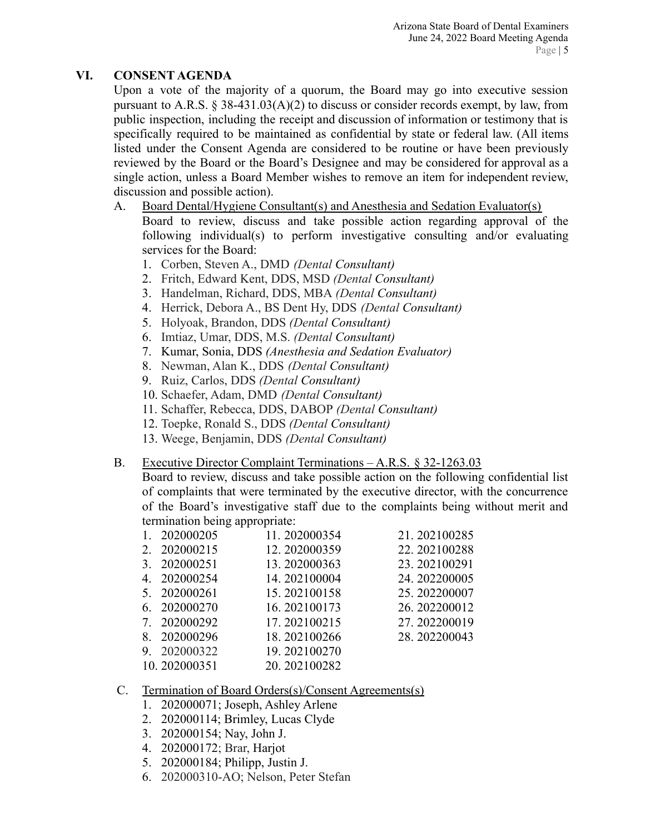## **VI. CONSENT AGENDA**

Upon a vote of the majority of a quorum, the Board may go into executive session pursuant to A.R.S.  $\S 38-431.03(A)(2)$  to discuss or consider records exempt, by law, from public inspection, including the receipt and discussion of information or testimony that is specifically required to be maintained as confidential by state or federal law. (All items listed under the Consent Agenda are considered to be routine or have been previously reviewed by the Board or the Board's Designee and may be considered for approval as a single action, unless a Board Member wishes to remove an item for independent review, discussion and possible action).

- A. Board Dental/Hygiene Consultant(s) and Anesthesia and Sedation Evaluator(s) Board to review, discuss and take possible action regarding approval of the following individual(s) to perform investigative consulting and/or evaluating services for the Board:
	- 1. Corben, Steven A., DMD *(Dental Consultant)*
	- 2. Fritch, Edward Kent, DDS, MSD *(Dental Consultant)*
	- 3. Handelman, Richard, DDS, MBA *(Dental Consultant)*
	- 4. Herrick, Debora A., BS Dent Hy, DDS *(Dental Consultant)*
	- 5. Holyoak, Brandon, DDS *(Dental Consultant)*
	- 6. Imtiaz, Umar, DDS, M.S. *(Dental Consultant)*
	- 7. Kumar, Sonia, DDS *(Anesthesia and Sedation Evaluator)*
	- 8. Newman, Alan K., DDS *(Dental Consultant)*
	- 9. Ruiz, Carlos, DDS *(Dental Consultant)*
	- 10. Schaefer, Adam, DMD *(Dental Consultant)*
	- 11. Schaffer, Rebecca, DDS, DABOP *(Dental Consultant)*
	- 12. Toepke, Ronald S., DDS *(Dental Consultant)*
	- 13. Weege, Benjamin, DDS *(Dental Consultant)*

### B. Executive Director Complaint Terminations – A.R.S. § 32-1263.03

Board to review, discuss and take possible action on the following confidential list of complaints that were terminated by the executive director, with the concurrence of the Board's investigative staff due to the complaints being without merit and termination being appropriate:

| 202000205    | 11.202000354 | 21.202100285 |
|--------------|--------------|--------------|
| 2. 202000215 | 12.202000359 | 22.202100288 |
| 3. 202000251 | 13.202000363 | 23.202100291 |
| 4. 202000254 | 14.202100004 | 24.202200005 |
| 5. 202000261 | 15.202100158 | 25.202200007 |
| 6. 202000270 | 16.202100173 | 26.202200012 |
| 7. 202000292 | 17.202100215 | 27.202200019 |
| 202000296    | 18.202100266 | 28.202200043 |
| 9. 202000322 | 19.202100270 |              |
| 10 202000251 | 20.302100282 |              |

# 10. 202000351 20. 202100282

## C. Termination of Board Orders(s)/Consent Agreements(s)

- 1. 202000071; Joseph, Ashley Arlene
- 2. 202000114; Brimley, Lucas Clyde
- 3. 202000154; Nay, John J.
- 4. 202000172; Brar, Harjot
- 5. 202000184; Philipp, Justin J.
- 6. 202000310-AO; Nelson, Peter Stefan